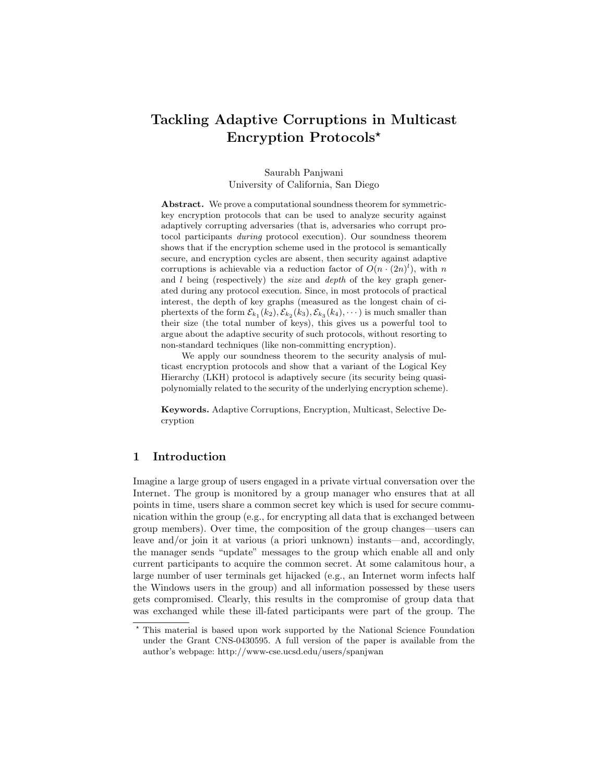# Tackling Adaptive Corruptions in Multicast Encryption Protocols?

Saurabh Panjwani University of California, San Diego

Abstract. We prove a computational soundness theorem for symmetrickey encryption protocols that can be used to analyze security against adaptively corrupting adversaries (that is, adversaries who corrupt protocol participants during protocol execution). Our soundness theorem shows that if the encryption scheme used in the protocol is semantically secure, and encryption cycles are absent, then security against adaptive corruptions is achievable via a reduction factor of  $O(n \cdot (2n)^l)$ , with n and  $l$  being (respectively) the *size* and *depth* of the key graph generated during any protocol execution. Since, in most protocols of practical interest, the depth of key graphs (measured as the longest chain of ciphertexts of the form  $\mathcal{E}_{k_1}(k_2), \mathcal{E}_{k_2}(k_3), \mathcal{E}_{k_3}(k_4), \cdots$  is much smaller than their size (the total number of keys), this gives us a powerful tool to argue about the adaptive security of such protocols, without resorting to non-standard techniques (like non-committing encryption).

We apply our soundness theorem to the security analysis of multicast encryption protocols and show that a variant of the Logical Key Hierarchy (LKH) protocol is adaptively secure (its security being quasipolynomially related to the security of the underlying encryption scheme).

Keywords. Adaptive Corruptions, Encryption, Multicast, Selective Decryption

## 1 Introduction

Imagine a large group of users engaged in a private virtual conversation over the Internet. The group is monitored by a group manager who ensures that at all points in time, users share a common secret key which is used for secure communication within the group (e.g., for encrypting all data that is exchanged between group members). Over time, the composition of the group changes—users can leave and/or join it at various (a priori unknown) instants—and, accordingly, the manager sends "update" messages to the group which enable all and only current participants to acquire the common secret. At some calamitous hour, a large number of user terminals get hijacked (e.g., an Internet worm infects half the Windows users in the group) and all information possessed by these users gets compromised. Clearly, this results in the compromise of group data that was exchanged while these ill-fated participants were part of the group. The

<sup>?</sup> This material is based upon work supported by the National Science Foundation under the Grant CNS-0430595. A full version of the paper is available from the author's webpage: http://www-cse.ucsd.edu/users/spanjwan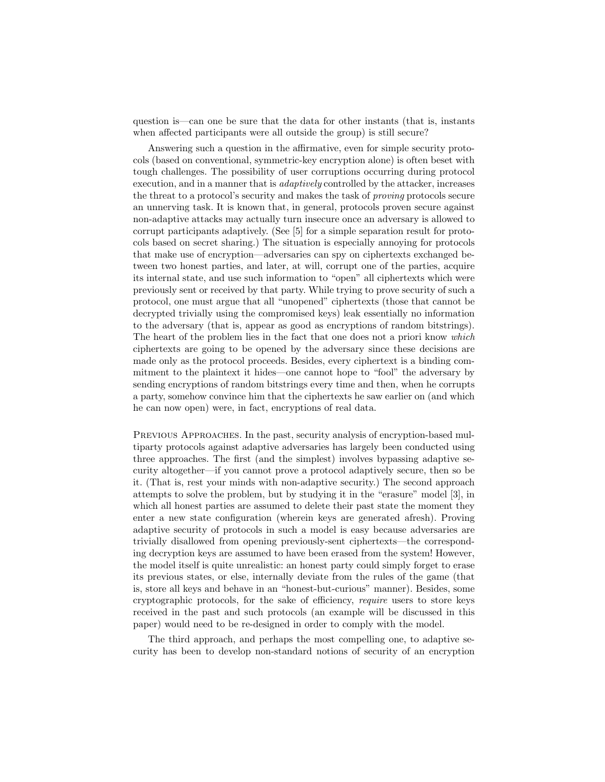question is—can one be sure that the data for other instants (that is, instants when affected participants were all outside the group) is still secure?

Answering such a question in the affirmative, even for simple security protocols (based on conventional, symmetric-key encryption alone) is often beset with tough challenges. The possibility of user corruptions occurring during protocol execution, and in a manner that is adaptively controlled by the attacker, increases the threat to a protocol's security and makes the task of proving protocols secure an unnerving task. It is known that, in general, protocols proven secure against non-adaptive attacks may actually turn insecure once an adversary is allowed to corrupt participants adaptively. (See [5] for a simple separation result for protocols based on secret sharing.) The situation is especially annoying for protocols that make use of encryption—adversaries can spy on ciphertexts exchanged between two honest parties, and later, at will, corrupt one of the parties, acquire its internal state, and use such information to "open" all ciphertexts which were previously sent or received by that party. While trying to prove security of such a protocol, one must argue that all "unopened" ciphertexts (those that cannot be decrypted trivially using the compromised keys) leak essentially no information to the adversary (that is, appear as good as encryptions of random bitstrings). The heart of the problem lies in the fact that one does not a priori know which ciphertexts are going to be opened by the adversary since these decisions are made only as the protocol proceeds. Besides, every ciphertext is a binding commitment to the plaintext it hides—one cannot hope to "fool" the adversary by sending encryptions of random bitstrings every time and then, when he corrupts a party, somehow convince him that the ciphertexts he saw earlier on (and which he can now open) were, in fact, encryptions of real data.

PREVIOUS APPROACHES. In the past, security analysis of encryption-based multiparty protocols against adaptive adversaries has largely been conducted using three approaches. The first (and the simplest) involves bypassing adaptive security altogether—if you cannot prove a protocol adaptively secure, then so be it. (That is, rest your minds with non-adaptive security.) The second approach attempts to solve the problem, but by studying it in the "erasure" model [3], in which all honest parties are assumed to delete their past state the moment they enter a new state configuration (wherein keys are generated afresh). Proving adaptive security of protocols in such a model is easy because adversaries are trivially disallowed from opening previously-sent ciphertexts—the corresponding decryption keys are assumed to have been erased from the system! However, the model itself is quite unrealistic: an honest party could simply forget to erase its previous states, or else, internally deviate from the rules of the game (that is, store all keys and behave in an "honest-but-curious" manner). Besides, some cryptographic protocols, for the sake of efficiency, require users to store keys received in the past and such protocols (an example will be discussed in this paper) would need to be re-designed in order to comply with the model.

The third approach, and perhaps the most compelling one, to adaptive security has been to develop non-standard notions of security of an encryption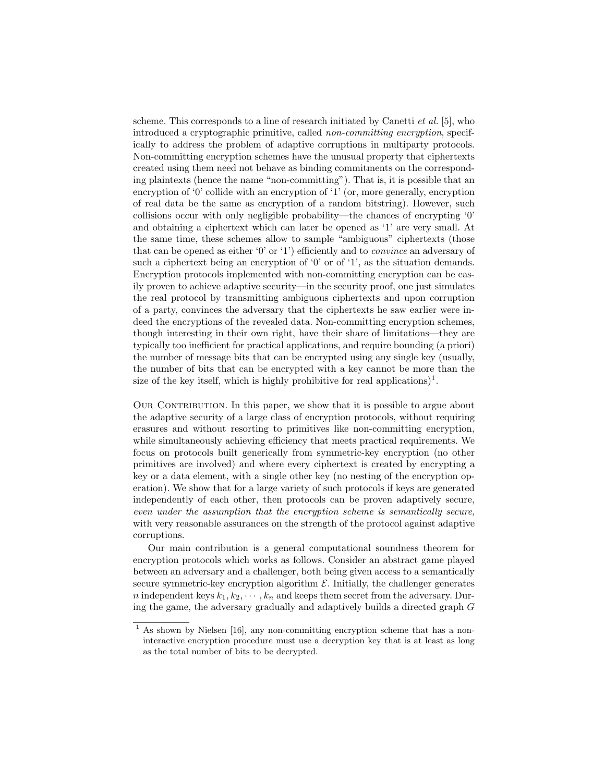scheme. This corresponds to a line of research initiated by Canetti  $et \ al.$  [5], who introduced a cryptographic primitive, called non-committing encryption, specifically to address the problem of adaptive corruptions in multiparty protocols. Non-committing encryption schemes have the unusual property that ciphertexts created using them need not behave as binding commitments on the corresponding plaintexts (hence the name "non-committing"). That is, it is possible that an encryption of '0' collide with an encryption of '1' (or, more generally, encryption of real data be the same as encryption of a random bitstring). However, such collisions occur with only negligible probability—the chances of encrypting '0' and obtaining a ciphertext which can later be opened as '1' are very small. At the same time, these schemes allow to sample "ambiguous" ciphertexts (those that can be opened as either '0' or '1') efficiently and to convince an adversary of such a ciphertext being an encryption of '0' or of '1', as the situation demands. Encryption protocols implemented with non-committing encryption can be easily proven to achieve adaptive security—in the security proof, one just simulates the real protocol by transmitting ambiguous ciphertexts and upon corruption of a party, convinces the adversary that the ciphertexts he saw earlier were indeed the encryptions of the revealed data. Non-committing encryption schemes, though interesting in their own right, have their share of limitations—they are typically too inefficient for practical applications, and require bounding (a priori) the number of message bits that can be encrypted using any single key (usually, the number of bits that can be encrypted with a key cannot be more than the size of the key itself, which is highly prohibitive for real applications)<sup>1</sup>.

OUR CONTRIBUTION. In this paper, we show that it is possible to argue about the adaptive security of a large class of encryption protocols, without requiring erasures and without resorting to primitives like non-committing encryption, while simultaneously achieving efficiency that meets practical requirements. We focus on protocols built generically from symmetric-key encryption (no other primitives are involved) and where every ciphertext is created by encrypting a key or a data element, with a single other key (no nesting of the encryption operation). We show that for a large variety of such protocols if keys are generated independently of each other, then protocols can be proven adaptively secure, even under the assumption that the encryption scheme is semantically secure, with very reasonable assurances on the strength of the protocol against adaptive corruptions.

Our main contribution is a general computational soundness theorem for encryption protocols which works as follows. Consider an abstract game played between an adversary and a challenger, both being given access to a semantically secure symmetric-key encryption algorithm  $\mathcal{E}$ . Initially, the challenger generates n independent keys  $k_1, k_2, \cdots, k_n$  and keeps them secret from the adversary. During the game, the adversary gradually and adaptively builds a directed graph G

 $1$  As shown by Nielsen [16], any non-committing encryption scheme that has a noninteractive encryption procedure must use a decryption key that is at least as long as the total number of bits to be decrypted.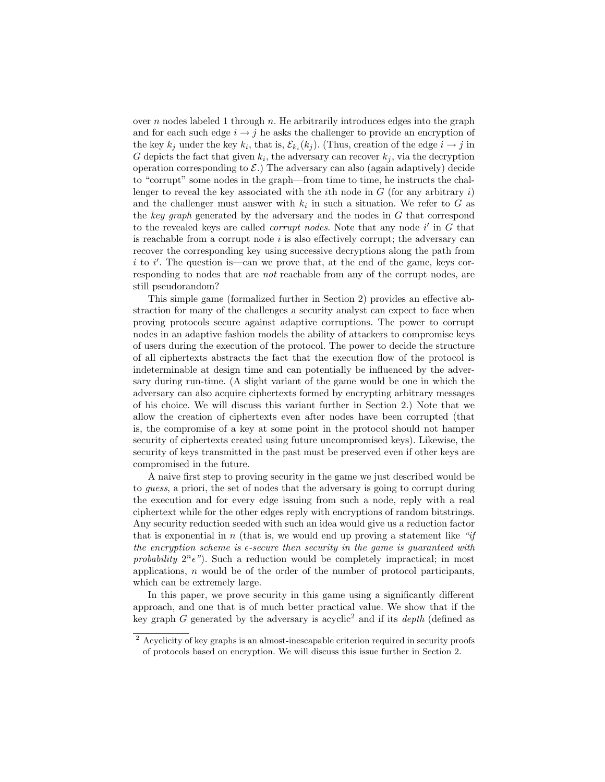over n nodes labeled 1 through n. He arbitrarily introduces edges into the graph and for each such edge  $i \rightarrow j$  he asks the challenger to provide an encryption of the key  $k_j$  under the key  $k_i$ , that is,  $\mathcal{E}_{k_i}(k_j)$ . (Thus, creation of the edge  $i \to j$  in G depicts the fact that given  $k_i$ , the adversary can recover  $k_j$ , via the decryption operation corresponding to  $\mathcal{E}$ .) The adversary can also (again adaptively) decide to "corrupt" some nodes in the graph—from time to time, he instructs the challenger to reveal the key associated with the *i*th node in  $G$  (for any arbitrary *i*) and the challenger must answer with  $k_i$  in such a situation. We refer to G as the key graph generated by the adversary and the nodes in  $G$  that correspond to the revealed keys are called *corrupt nodes*. Note that any node  $i'$  in  $G$  that is reachable from a corrupt node  $i$  is also effectively corrupt; the adversary can recover the corresponding key using successive decryptions along the path from i to i'. The question is—can we prove that, at the end of the game, keys corresponding to nodes that are not reachable from any of the corrupt nodes, are still pseudorandom?

This simple game (formalized further in Section 2) provides an effective abstraction for many of the challenges a security analyst can expect to face when proving protocols secure against adaptive corruptions. The power to corrupt nodes in an adaptive fashion models the ability of attackers to compromise keys of users during the execution of the protocol. The power to decide the structure of all ciphertexts abstracts the fact that the execution flow of the protocol is indeterminable at design time and can potentially be influenced by the adversary during run-time. (A slight variant of the game would be one in which the adversary can also acquire ciphertexts formed by encrypting arbitrary messages of his choice. We will discuss this variant further in Section 2.) Note that we allow the creation of ciphertexts even after nodes have been corrupted (that is, the compromise of a key at some point in the protocol should not hamper security of ciphertexts created using future uncompromised keys). Likewise, the security of keys transmitted in the past must be preserved even if other keys are compromised in the future.

A naive first step to proving security in the game we just described would be to guess, a priori, the set of nodes that the adversary is going to corrupt during the execution and for every edge issuing from such a node, reply with a real ciphertext while for the other edges reply with encryptions of random bitstrings. Any security reduction seeded with such an idea would give us a reduction factor that is exponential in n (that is, we would end up proving a statement like "if the encryption scheme is  $\epsilon$ -secure then security in the game is guaranteed with probability  $2^n \epsilon$ "). Such a reduction would be completely impractical; in most applications,  $n$  would be of the order of the number of protocol participants, which can be extremely large.

In this paper, we prove security in this game using a significantly different approach, and one that is of much better practical value. We show that if the key graph  $G$  generated by the adversary is acyclic<sup>2</sup> and if its *depth* (defined as

<sup>2</sup> Acyclicity of key graphs is an almost-inescapable criterion required in security proofs of protocols based on encryption. We will discuss this issue further in Section 2.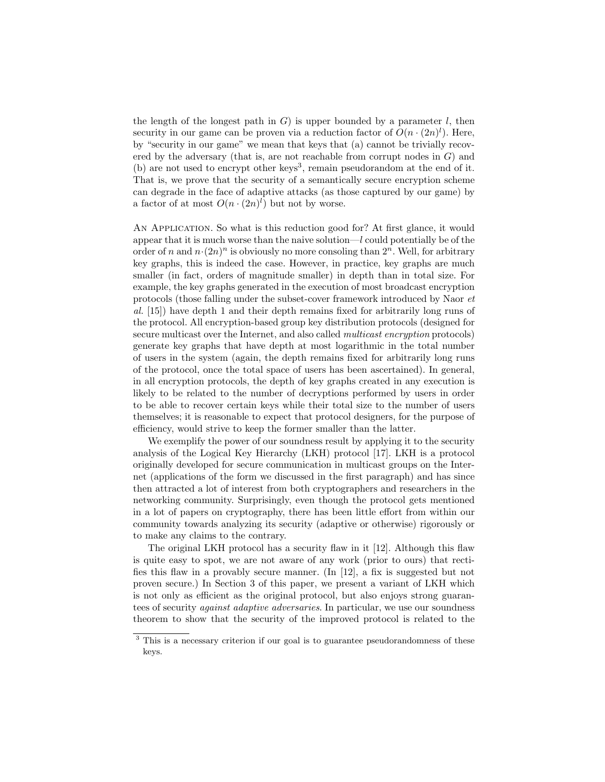the length of the longest path in  $G$ ) is upper bounded by a parameter l, then security in our game can be proven via a reduction factor of  $O(n \cdot (2n)^l)$ . Here, by "security in our game" we mean that keys that (a) cannot be trivially recovered by the adversary (that is, are not reachable from corrupt nodes in  $G$ ) and  $(b)$  are not used to encrypt other keys<sup>3</sup>, remain pseudorandom at the end of it. That is, we prove that the security of a semantically secure encryption scheme can degrade in the face of adaptive attacks (as those captured by our game) by a factor of at most  $O(n \cdot (2n)^l)$  but not by worse.

An Application. So what is this reduction good for? At first glance, it would appear that it is much worse than the naive solution— $l$  could potentially be of the order of n and  $n \cdot (2n)^n$  is obviously no more consoling than  $2^n$ . Well, for arbitrary key graphs, this is indeed the case. However, in practice, key graphs are much smaller (in fact, orders of magnitude smaller) in depth than in total size. For example, the key graphs generated in the execution of most broadcast encryption protocols (those falling under the subset-cover framework introduced by Naor et al. [15]) have depth 1 and their depth remains fixed for arbitrarily long runs of the protocol. All encryption-based group key distribution protocols (designed for secure multicast over the Internet, and also called *multicast encryption* protocols) generate key graphs that have depth at most logarithmic in the total number of users in the system (again, the depth remains fixed for arbitrarily long runs of the protocol, once the total space of users has been ascertained). In general, in all encryption protocols, the depth of key graphs created in any execution is likely to be related to the number of decryptions performed by users in order to be able to recover certain keys while their total size to the number of users themselves; it is reasonable to expect that protocol designers, for the purpose of efficiency, would strive to keep the former smaller than the latter.

We exemplify the power of our soundness result by applying it to the security analysis of the Logical Key Hierarchy (LKH) protocol [17]. LKH is a protocol originally developed for secure communication in multicast groups on the Internet (applications of the form we discussed in the first paragraph) and has since then attracted a lot of interest from both cryptographers and researchers in the networking community. Surprisingly, even though the protocol gets mentioned in a lot of papers on cryptography, there has been little effort from within our community towards analyzing its security (adaptive or otherwise) rigorously or to make any claims to the contrary.

The original LKH protocol has a security flaw in it [12]. Although this flaw is quite easy to spot, we are not aware of any work (prior to ours) that rectifies this flaw in a provably secure manner. (In [12], a fix is suggested but not proven secure.) In Section 3 of this paper, we present a variant of LKH which is not only as efficient as the original protocol, but also enjoys strong guarantees of security *against adaptive adversaries*. In particular, we use our soundness theorem to show that the security of the improved protocol is related to the

<sup>&</sup>lt;sup>3</sup> This is a necessary criterion if our goal is to guarantee pseudorandomness of these keys.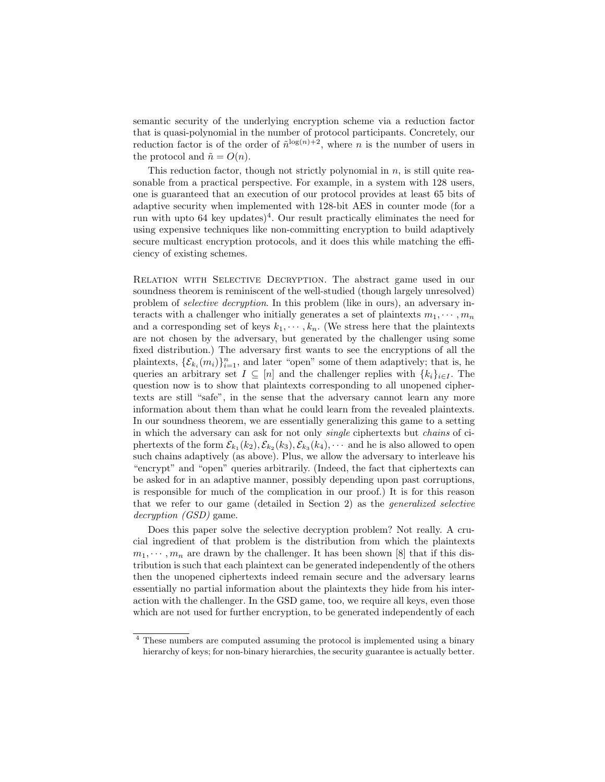semantic security of the underlying encryption scheme via a reduction factor that is quasi-polynomial in the number of protocol participants. Concretely, our reduction factor is of the order of  $\tilde{n}^{\log(n)+2}$ , where *n* is the number of users in the protocol and  $\tilde{n} = O(n)$ .

This reduction factor, though not strictly polynomial in  $n$ , is still quite reasonable from a practical perspective. For example, in a system with 128 users, one is guaranteed that an execution of our protocol provides at least 65 bits of adaptive security when implemented with 128-bit AES in counter mode (for a run with upto 64 key updates)<sup>4</sup>. Our result practically eliminates the need for using expensive techniques like non-committing encryption to build adaptively secure multicast encryption protocols, and it does this while matching the efficiency of existing schemes.

Relation with Selective Decryption. The abstract game used in our soundness theorem is reminiscent of the well-studied (though largely unresolved) problem of *selective decryption*. In this problem (like in ours), an adversary interacts with a challenger who initially generates a set of plaintexts  $m_1, \dots, m_n$ and a corresponding set of keys  $k_1, \dots, k_n$ . (We stress here that the plaintexts are not chosen by the adversary, but generated by the challenger using some fixed distribution.) The adversary first wants to see the encryptions of all the plaintexts,  $\{\mathcal{E}_{k_i}(m_i)\}_{i=1}^n$ , and later "open" some of them adaptively; that is, he queries an arbitrary set  $I \subseteq [n]$  and the challenger replies with  $\{k_i\}_{i \in I}$ . The question now is to show that plaintexts corresponding to all unopened ciphertexts are still "safe", in the sense that the adversary cannot learn any more information about them than what he could learn from the revealed plaintexts. In our soundness theorem, we are essentially generalizing this game to a setting in which the adversary can ask for not only single ciphertexts but chains of ciphertexts of the form  $\mathcal{E}_{k_1}(k_2), \mathcal{E}_{k_2}(k_3), \mathcal{E}_{k_3}(k_4), \cdots$  and he is also allowed to open such chains adaptively (as above). Plus, we allow the adversary to interleave his "encrypt" and "open" queries arbitrarily. (Indeed, the fact that ciphertexts can be asked for in an adaptive manner, possibly depending upon past corruptions, is responsible for much of the complication in our proof.) It is for this reason that we refer to our game (detailed in Section 2) as the generalized selective decryption *(GSD)* game.

Does this paper solve the selective decryption problem? Not really. A crucial ingredient of that problem is the distribution from which the plaintexts  $m_1, \dots, m_n$  are drawn by the challenger. It has been shown [8] that if this distribution is such that each plaintext can be generated independently of the others then the unopened ciphertexts indeed remain secure and the adversary learns essentially no partial information about the plaintexts they hide from his interaction with the challenger. In the GSD game, too, we require all keys, even those which are not used for further encryption, to be generated independently of each

<sup>4</sup> These numbers are computed assuming the protocol is implemented using a binary hierarchy of keys; for non-binary hierarchies, the security guarantee is actually better.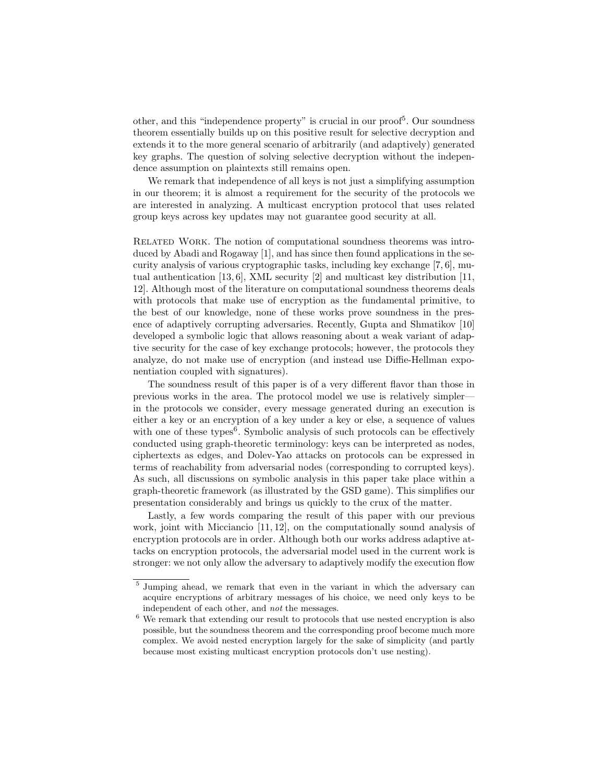other, and this "independence property" is crucial in our proof<sup>5</sup> . Our soundness theorem essentially builds up on this positive result for selective decryption and extends it to the more general scenario of arbitrarily (and adaptively) generated key graphs. The question of solving selective decryption without the independence assumption on plaintexts still remains open.

We remark that independence of all keys is not just a simplifying assumption in our theorem; it is almost a requirement for the security of the protocols we are interested in analyzing. A multicast encryption protocol that uses related group keys across key updates may not guarantee good security at all.

Related Work. The notion of computational soundness theorems was introduced by Abadi and Rogaway [1], and has since then found applications in the security analysis of various cryptographic tasks, including key exchange [7, 6], mutual authentication [13, 6], XML security [2] and multicast key distribution [11, 12]. Although most of the literature on computational soundness theorems deals with protocols that make use of encryption as the fundamental primitive, to the best of our knowledge, none of these works prove soundness in the presence of adaptively corrupting adversaries. Recently, Gupta and Shmatikov [10] developed a symbolic logic that allows reasoning about a weak variant of adaptive security for the case of key exchange protocols; however, the protocols they analyze, do not make use of encryption (and instead use Diffie-Hellman exponentiation coupled with signatures).

The soundness result of this paper is of a very different flavor than those in previous works in the area. The protocol model we use is relatively simpler in the protocols we consider, every message generated during an execution is either a key or an encryption of a key under a key or else, a sequence of values with one of these types<sup>6</sup>. Symbolic analysis of such protocols can be effectively conducted using graph-theoretic terminology: keys can be interpreted as nodes, ciphertexts as edges, and Dolev-Yao attacks on protocols can be expressed in terms of reachability from adversarial nodes (corresponding to corrupted keys). As such, all discussions on symbolic analysis in this paper take place within a graph-theoretic framework (as illustrated by the GSD game). This simplifies our presentation considerably and brings us quickly to the crux of the matter.

Lastly, a few words comparing the result of this paper with our previous work, joint with Micciancio [11, 12], on the computationally sound analysis of encryption protocols are in order. Although both our works address adaptive attacks on encryption protocols, the adversarial model used in the current work is stronger: we not only allow the adversary to adaptively modify the execution flow

<sup>&</sup>lt;sup>5</sup> Jumping ahead, we remark that even in the variant in which the adversary can acquire encryptions of arbitrary messages of his choice, we need only keys to be independent of each other, and not the messages.

 $6$  We remark that extending our result to protocols that use nested encryption is also possible, but the soundness theorem and the corresponding proof become much more complex. We avoid nested encryption largely for the sake of simplicity (and partly because most existing multicast encryption protocols don't use nesting).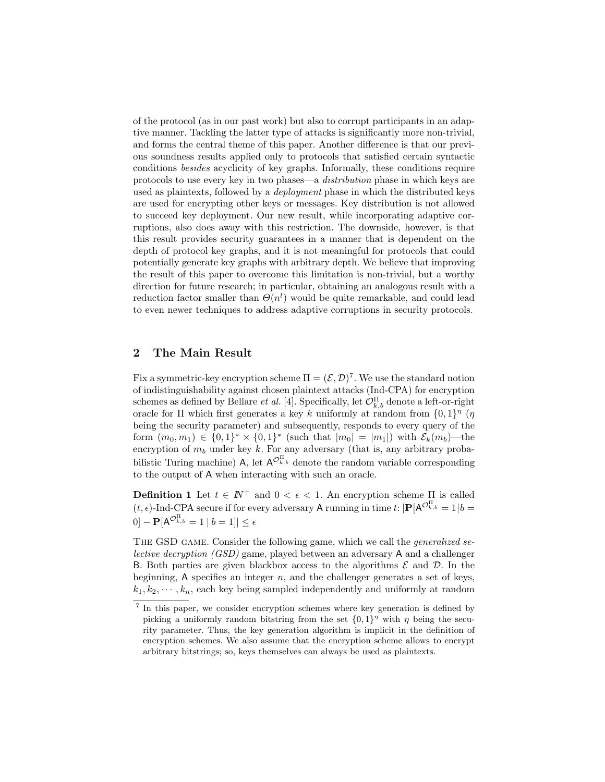of the protocol (as in our past work) but also to corrupt participants in an adaptive manner. Tackling the latter type of attacks is significantly more non-trivial, and forms the central theme of this paper. Another difference is that our previous soundness results applied only to protocols that satisfied certain syntactic conditions besides acyclicity of key graphs. Informally, these conditions require protocols to use every key in two phases—a distribution phase in which keys are used as plaintexts, followed by a *deployment* phase in which the distributed keys are used for encrypting other keys or messages. Key distribution is not allowed to succeed key deployment. Our new result, while incorporating adaptive corruptions, also does away with this restriction. The downside, however, is that this result provides security guarantees in a manner that is dependent on the depth of protocol key graphs, and it is not meaningful for protocols that could potentially generate key graphs with arbitrary depth. We believe that improving the result of this paper to overcome this limitation is non-trivial, but a worthy direction for future research; in particular, obtaining an analogous result with a reduction factor smaller than  $\Theta(n^l)$  would be quite remarkable, and could lead to even newer techniques to address adaptive corruptions in security protocols.

## 2 The Main Result

Fix a symmetric-key encryption scheme  $\Pi = (\mathcal{E}, \mathcal{D})^7$ . We use the standard notion of indistinguishability against chosen plaintext attacks (Ind-CPA) for encryption schemes as defined by Bellare *et al.* [4]. Specifically, let  $\mathcal{O}_{k,b}^{\Pi}$  denote a left-or-right oracle for  $\Pi$  which first generates a key k uniformly at random from  $\{0,1\}^{\eta}$  ( $\eta$ being the security parameter) and subsequently, responds to every query of the form  $(m_0, m_1) \in \{0, 1\}^* \times \{0, 1\}^*$  (such that  $|m_0| = |m_1|$ ) with  $\mathcal{E}_k(m_b)$ —the encryption of  $m_b$  under key k. For any adversary (that is, any arbitrary probabilistic Turing machine) A, let  $A^{\mathcal{O}_{k,b}^{\Pi}}$  denote the random variable corresponding to the output of A when interacting with such an oracle.

**Definition 1** Let  $t \in \mathbb{N}^+$  and  $0 < \epsilon < 1$ . An encryption scheme  $\Pi$  is called  $(t, \epsilon)$ -Ind-CPA secure if for every adversary A running in time t:  $|\mathbf{P}|\mathbf{A}^{\mathcal{O}_{k,b}^{II}} = 1|b =$  $|0| - \mathbf{P}[\mathsf{A}^{\mathcal{O}_{k,b}^{\Pi}} = 1 \,|\, b = 1]| \leq \epsilon$ 

The GSD game. Consider the following game, which we call the generalized selective decryption (GSD) game, played between an adversary A and a challenger B. Both parties are given blackbox access to the algorithms  $\mathcal E$  and  $\mathcal D$ . In the beginning, A specifies an integer  $n$ , and the challenger generates a set of keys,  $k_1, k_2, \dots, k_n$ , each key being sampled independently and uniformly at random

<sup>&</sup>lt;sup>7</sup> In this paper, we consider encryption schemes where key generation is defined by picking a uniformly random bitstring from the set  $\{0,1\}^{\eta}$  with  $\eta$  being the security parameter. Thus, the key generation algorithm is implicit in the definition of encryption schemes. We also assume that the encryption scheme allows to encrypt arbitrary bitstrings; so, keys themselves can always be used as plaintexts.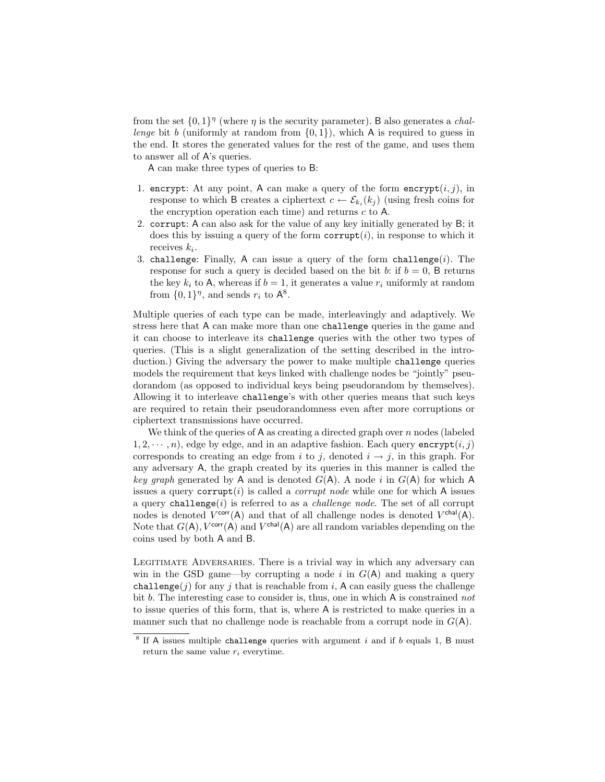from the set  $\{0,1\}^{\eta}$  (where  $\eta$  is the security parameter). B also generates a *chal*lenge bit b (uniformly at random from  $\{0, 1\}$ ), which A is required to guess in the end. It stores the generated values for the rest of the game, and uses them to answer all of A's queries.

A can make three types of queries to B:

- 1. encrypt: At any point, A can make a query of the form encrypt $(i, j)$ , in response to which B creates a ciphertext  $c \leftarrow \mathcal{E}_{k_i}(k_j)$  (using fresh coins for the encryption operation each time) and returns c to A.
- 2. corrupt: A can also ask for the value of any key initially generated by B; it does this by issuing a query of the form  $\text{corrupt}(i)$ , in response to which it receives  $k_i$ .
- 3. challenge: Finally, A can issue a query of the form challenge $(i)$ . The response for such a query is decided based on the bit b: if  $b = 0$ , B returns the key  $k_i$  to A, whereas if  $b = 1$ , it generates a value  $r_i$  uniformly at random from  $\{0,1\}^{\eta}$ , and sends  $r_i$  to  $\mathsf{A}^8$ .

Multiple queries of each type can be made, interleavingly and adaptively. We stress here that A can make more than one challenge queries in the game and it can choose to interleave its challenge queries with the other two types of queries. (This is a slight generalization of the setting described in the introduction.) Giving the adversary the power to make multiple challenge queries models the requirement that keys linked with challenge nodes be "jointly" pseudorandom (as opposed to individual keys being pseudorandom by themselves). Allowing it to interleave challenge's with other queries means that such keys are required to retain their pseudorandomness even after more corruptions or ciphertext transmissions have occurred.

We think of the queries of A as creating a directed graph over  $n$  nodes (labeled  $1, 2, \dots, n$ , edge by edge, and in an adaptive fashion. Each query encrypt $(i, j)$ corresponds to creating an edge from i to j, denoted  $i \rightarrow j$ , in this graph. For any adversary A, the graph created by its queries in this manner is called the key graph generated by A and is denoted  $G(A)$ . A node i in  $G(A)$  for which A issues a query corrupt(i) is called a *corrupt node* while one for which A issues a query challenge(i) is referred to as a *challenge node*. The set of all corrupt nodes is denoted  $V^{\text{corr}}(A)$  and that of all challenge nodes is denoted  $V^{\text{chal}}(A)$ . Note that  $G(A)$ ,  $V^{corr}(A)$  and  $V^{chal}(A)$  are all random variables depending on the coins used by both A and B.

LEGITIMATE ADVERSARIES. There is a trivial way in which any adversary can win in the GSD game—by corrupting a node i in  $G(A)$  and making a query challenge(j) for any j that is reachable from i, A can easily guess the challenge bit b. The interesting case to consider is, thus, one in which A is constrained not to issue queries of this form, that is, where A is restricted to make queries in a manner such that no challenge node is reachable from a corrupt node in  $G(A)$ .

 $8$  If A issues multiple challenge queries with argument i and if b equals 1, B must return the same value  $r_i$  everytime.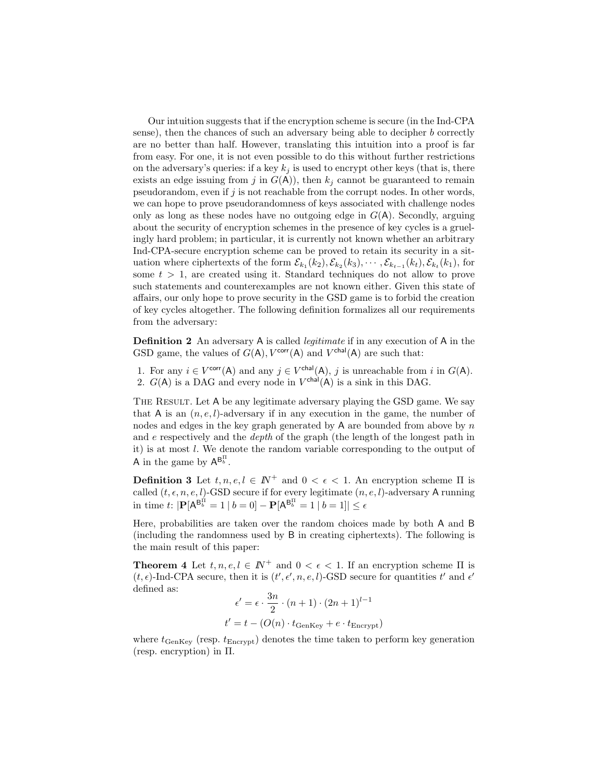Our intuition suggests that if the encryption scheme is secure (in the Ind-CPA sense), then the chances of such an adversary being able to decipher b correctly are no better than half. However, translating this intuition into a proof is far from easy. For one, it is not even possible to do this without further restrictions on the adversary's queries: if a key  $k_j$  is used to encrypt other keys (that is, there exists an edge issuing from j in  $G(A)$ , then  $k_i$  cannot be guaranteed to remain pseudorandom, even if  $j$  is not reachable from the corrupt nodes. In other words, we can hope to prove pseudorandomness of keys associated with challenge nodes only as long as these nodes have no outgoing edge in  $G(A)$ . Secondly, arguing about the security of encryption schemes in the presence of key cycles is a gruelingly hard problem; in particular, it is currently not known whether an arbitrary Ind-CPA-secure encryption scheme can be proved to retain its security in a situation where ciphertexts of the form  $\mathcal{E}_{k_1}(k_2), \mathcal{E}_{k_2}(k_3), \cdots, \mathcal{E}_{k_{t-1}}(k_t), \mathcal{E}_{k_t}(k_1)$ , for some  $t > 1$ , are created using it. Standard techniques do not allow to prove such statements and counterexamples are not known either. Given this state of affairs, our only hope to prove security in the GSD game is to forbid the creation of key cycles altogether. The following definition formalizes all our requirements from the adversary:

Definition 2 An adversary A is called *legitimate* if in any execution of A in the GSD game, the values of  $G(A)$ ,  $V^{corr}(A)$  and  $V^{chal}(A)$  are such that:

1. For any  $i \in V^{\text{corr}}(A)$  and any  $j \in V^{\text{chal}}(A)$ , j is unreachable from i in  $G(A)$ . 2.  $G(A)$  is a DAG and every node in  $V^{\text{chal}}(A)$  is a sink in this DAG.

THE RESULT. Let A be any legitimate adversary playing the GSD game. We say that A is an  $(n, e, l)$ -adversary if in any execution in the game, the number of nodes and edges in the key graph generated by  $A$  are bounded from above by  $n$ and e respectively and the depth of the graph (the length of the longest path in it) is at most l. We denote the random variable corresponding to the output of A in the game by  $A^{B_b^{\Pi}}$ .

**Definition 3** Let  $t, n, e, l \in \mathbb{N}^+$  and  $0 < \epsilon < 1$ . An encryption scheme  $\Pi$  is called  $(t, \epsilon, n, e, l)$ -GSD secure if for every legitimate  $(n, e, l)$ -adversary A running in time t:  $|\mathbf{P}[\mathsf{A}^{\mathsf{B}^{\Pi}_{b}}=1|b=0] - \mathbf{P}[\mathsf{A}^{\mathsf{B}^{\Pi}_{b}}=1|b=1]| \leq \epsilon$ 

Here, probabilities are taken over the random choices made by both A and B (including the randomness used by B in creating ciphertexts). The following is the main result of this paper:

**Theorem 4** Let  $t, n, e, l \in \mathbb{N}^+$  and  $0 < \epsilon < 1$ . If an encryption scheme  $\Pi$  is  $(t, \epsilon)$ -Ind-CPA secure, then it is  $(t', \epsilon', n, e, l)$ -GSD secure for quantities  $t'$  and  $\epsilon'$ defined as:

$$
\epsilon' = \epsilon \cdot \frac{3n}{2} \cdot (n+1) \cdot (2n+1)^{l-1}
$$

$$
t' = t - (O(n) \cdot t_{\text{GenKey}} + e \cdot t_{\text{Encrypt}})
$$

where  $t_{GenKey}$  (resp.  $t_{Encrypt}$ ) denotes the time taken to perform key generation (resp. encryption) in Π.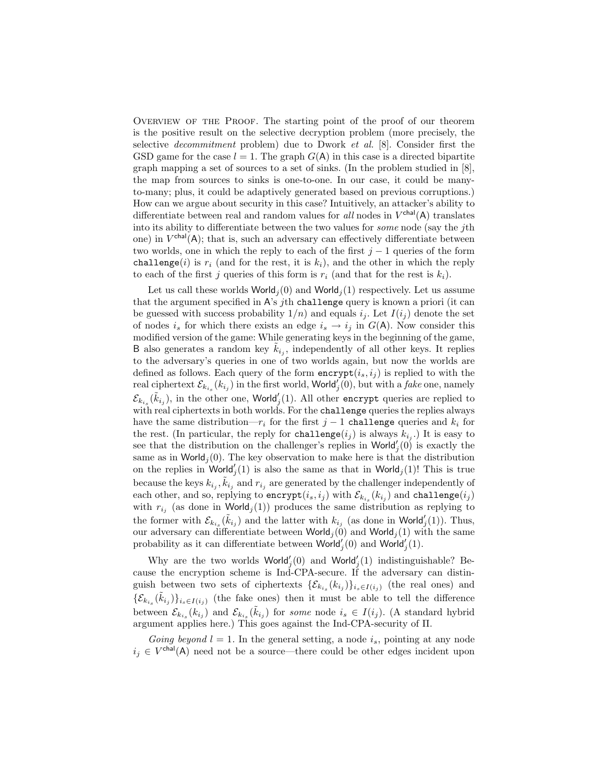Overview of the Proof. The starting point of the proof of our theorem is the positive result on the selective decryption problem (more precisely, the selective decommitment problem) due to Dwork et al. [8]. Consider first the GSD game for the case  $l = 1$ . The graph  $G(A)$  in this case is a directed bipartite graph mapping a set of sources to a set of sinks. (In the problem studied in [8], the map from sources to sinks is one-to-one. In our case, it could be manyto-many; plus, it could be adaptively generated based on previous corruptions.) How can we argue about security in this case? Intuitively, an attacker's ability to differentiate between real and random values for *all* nodes in  $V^{\text{chal}}(A)$  translates into its ability to differentiate between the two values for some node (say the jth one) in  $V^{\text{chal}}(A)$ ; that is, such an adversary can effectively differentiate between two worlds, one in which the reply to each of the first  $j - 1$  queries of the form challenge(i) is  $r_i$  (and for the rest, it is  $k_i$ ), and the other in which the reply to each of the first j queries of this form is  $r_i$  (and that for the rest is  $k_i$ ).

Let us call these worlds  $Wor\mathrm{Id}_i(0)$  and  $Wor\mathrm{Id}_i(1)$  respectively. Let us assume that the argument specified in A's jth challenge query is known a priori (it can be guessed with success probability  $1/n$  and equals  $i_j$ . Let  $I(i_j)$  denote the set of nodes  $i_s$  for which there exists an edge  $i_s \rightarrow i_j$  in  $G(A)$ . Now consider this modified version of the game: While generating keys in the beginning of the game, B also generates a random key  $\tilde{k}_{ij}$ , independently of all other keys. It replies to the adversary's queries in one of two worlds again, but now the worlds are defined as follows. Each query of the form  $\texttt{encrypt}(i_s, i_j)$  is replied to with the real ciphertext  $\mathcal{E}_{k_{i_s}}(k_{i_j})$  in the first world, World<sup>'</sup><sub>j</sub>(0), but with a *fake* one, namely  $\mathcal{E}_{k_{i_s}}(\tilde{k}_{i_j}),$  in the other one, World'<sub>j</sub>(1). All other encrypt queries are replied to with real ciphertexts in both worlds. For the challenge queries the replies always have the same distribution— $r_i$  for the first j – 1 challenge queries and  $k_i$  for the rest. (In particular, the reply for challenge $(i_j)$  is always  $k_{i_j}$ .) It is easy to see that the distribution on the challenger's replies in World $'_{j}(0)$  is exactly the same as in World<sub>i</sub> $(0)$ . The key observation to make here is that the distribution on the replies in World'<sub>j</sub>(1) is also the same as that in World<sub>j</sub>(1)! This is true because the keys  $k_{i_j}$ ,  $\tilde{k}_{i_j}$  and  $r_{i_j}$  are generated by the challenger independently of each other, and so, replying to  $\mathtt{encrypt}(i_s,i_j)$  with  $\mathcal{E}_{k_{i_s}}(k_{i_j})$  and  $\mathtt{challenge}(i_j)$ with  $r_{i_j}$  (as done in World<sub>j</sub>(1)) produces the same distribution as replying to the former with  $\mathcal{E}_{k_{i_s}}(\tilde{k}_{i_j})$  and the latter with  $k_{i_j}$  (as done in World'<sub>j</sub>(1)). Thus, our adversary can differentiate between World<sub>j</sub>(0) and World<sub>j</sub>(1) with the same probability as it can differentiate between  $\text{World}'_j(0)$  and  $\text{World}'_j(1)$ .

Why are the two worlds  $World'_j(0)$  and  $World'_j(1)$  indistinguishable? Because the encryption scheme is Ind-CPA-secure. If the adversary can distinguish between two sets of ciphertexts  $\{\mathcal{E}_{k_{i_s}}(k_{i_j})\}_{i_s \in I(i_j)}$  (the real ones) and  $\{\mathcal{E}_{k_{i_s}}(\tilde{k}_{i_j})\}_{i_s\in I(i_j)}$  (the fake ones) then it must be able to tell the difference between  $\mathcal{E}_{k_{i_s}}(k_{i_j})$  and  $\mathcal{E}_{k_{i_s}}(\tilde{k}_{i_j})$  for some node  $i_s \in I(i_j)$ . (A standard hybrid argument applies here.) This goes against the Ind-CPA-security of Π.

Going beyond  $l = 1$ . In the general setting, a node  $i_s$ , pointing at any node  $i_j \in V^{\text{chal}}(A)$  need not be a source—there could be other edges incident upon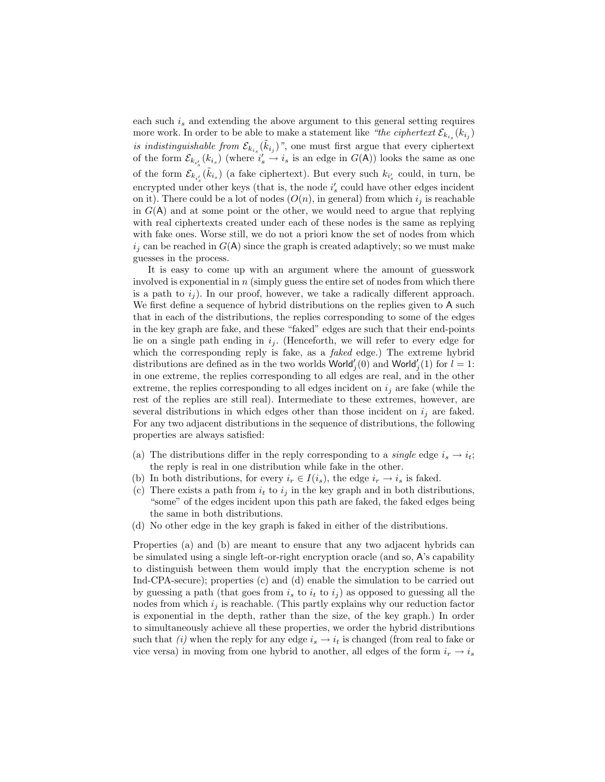each such  $i<sub>s</sub>$  and extending the above argument to this general setting requires more work. In order to be able to make a statement like *"the ciphertext*  $\mathcal{E}_{k_{i_s}}(k_{i_j})$ is indistinguishable from  $\mathcal{E}_{k_{i_s}}(\tilde{k}_{i_j})$ ", one must first argue that every ciphertext of the form  $\mathcal{E}_{k_{i'_s}}(k_{i_s})$  (where  $i'_s \to i_s$  is an edge in  $G(A)$ ) looks the same as one of the form  $\mathcal{E}_{k_{i'_s}}(\tilde{k}_{i_s})$  (a fake ciphertext). But every such  $k_{i'_s}$  could, in turn, be encrypted under other keys (that is, the node  $i'_{s}$  could have other edges incident on it). There could be a lot of nodes  $(O(n))$ , in general) from which  $i_j$  is reachable in  $G(A)$  and at some point or the other, we would need to argue that replying with real ciphertexts created under each of these nodes is the same as replying with fake ones. Worse still, we do not a priori know the set of nodes from which  $i_j$  can be reached in  $G(A)$  since the graph is created adaptively; so we must make guesses in the process.

It is easy to come up with an argument where the amount of guesswork involved is exponential in  $n$  (simply guess the entire set of nodes from which there is a path to  $i_j$ ). In our proof, however, we take a radically different approach. We first define a sequence of hybrid distributions on the replies given to A such that in each of the distributions, the replies corresponding to some of the edges in the key graph are fake, and these "faked" edges are such that their end-points lie on a single path ending in  $i_j$ . (Henceforth, we will refer to every edge for which the corresponding reply is fake, as a *faked* edge.) The extreme hybrid distributions are defined as in the two worlds  $\text{World}'_j(0)$  and  $\text{World}'_j(1)$  for  $l = 1$ : in one extreme, the replies corresponding to all edges are real, and in the other extreme, the replies corresponding to all edges incident on  $i_j$  are fake (while the rest of the replies are still real). Intermediate to these extremes, however, are several distributions in which edges other than those incident on  $i_j$  are faked. For any two adjacent distributions in the sequence of distributions, the following properties are always satisfied:

- (a) The distributions differ in the reply corresponding to a *single* edge  $i_s \rightarrow i_t$ ; the reply is real in one distribution while fake in the other.
- (b) In both distributions, for every  $i_r \in I(i_s)$ , the edge  $i_r \to i_s$  is faked.
- (c) There exists a path from  $i_t$  to  $i_j$  in the key graph and in both distributions, "some" of the edges incident upon this path are faked, the faked edges being the same in both distributions.
- (d) No other edge in the key graph is faked in either of the distributions.

Properties (a) and (b) are meant to ensure that any two adjacent hybrids can be simulated using a single left-or-right encryption oracle (and so, A's capability to distinguish between them would imply that the encryption scheme is not Ind-CPA-secure); properties (c) and (d) enable the simulation to be carried out by guessing a path (that goes from  $i_s$  to  $i_t$  to  $i_j$ ) as opposed to guessing all the nodes from which  $i_j$  is reachable. (This partly explains why our reduction factor is exponential in the depth, rather than the size, of the key graph.) In order to simultaneously achieve all these properties, we order the hybrid distributions such that (i) when the reply for any edge  $i_s \rightarrow i_t$  is changed (from real to fake or vice versa) in moving from one hybrid to another, all edges of the form  $i_r \rightarrow i_s$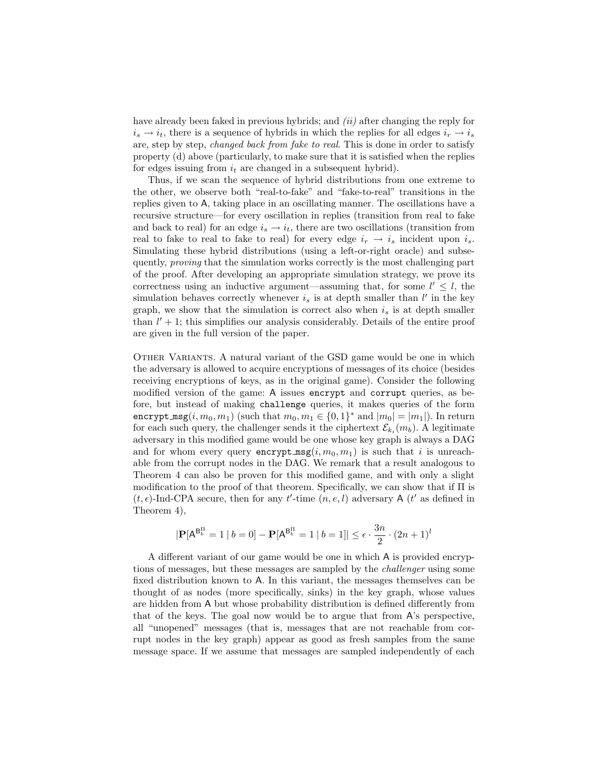have already been faked in previous hybrids; and (ii) after changing the reply for  $i_s \rightarrow i_t$ , there is a sequence of hybrids in which the replies for all edges  $i_r \rightarrow i_s$ are, step by step, changed back from fake to real. This is done in order to satisfy property (d) above (particularly, to make sure that it is satisfied when the replies for edges issuing from  $i_t$  are changed in a subsequent hybrid).

Thus, if we scan the sequence of hybrid distributions from one extreme to the other, we observe both "real-to-fake" and "fake-to-real" transitions in the replies given to A, taking place in an oscillating manner. The oscillations have a recursive structure—for every oscillation in replies (transition from real to fake and back to real) for an edge  $i_s \rightarrow i_t$ , there are two oscillations (transition from real to fake to real to fake to real) for every edge  $i_r \rightarrow i_s$  incident upon  $i_s$ . Simulating these hybrid distributions (using a left-or-right oracle) and subsequently, proving that the simulation works correctly is the most challenging part of the proof. After developing an appropriate simulation strategy, we prove its correctness using an inductive argument—assuming that, for some  $l' \leq l$ , the simulation behaves correctly whenever  $i_s$  is at depth smaller than  $l'$  in the key graph, we show that the simulation is correct also when  $i_s$  is at depth smaller than  $l' + 1$ ; this simplifies our analysis considerably. Details of the entire proof are given in the full version of the paper.

OTHER VARIANTS. A natural variant of the GSD game would be one in which the adversary is allowed to acquire encryptions of messages of its choice (besides receiving encryptions of keys, as in the original game). Consider the following modified version of the game: A issues encrypt and corrupt queries, as before, but instead of making challenge queries, it makes queries of the form encrypt\_msg $(i, m_0, m_1)$  (such that  $m_0, m_1 \in \{0, 1\}^*$  and  $|m_0| = |m_1|$ ). In return for each such query, the challenger sends it the ciphertext  $\mathcal{E}_{k_i}(m_b)$ . A legitimate adversary in this modified game would be one whose key graph is always a DAG and for whom every query encrypt  $\text{msg}(i, m_0, m_1)$  is such that i is unreachable from the corrupt nodes in the DAG. We remark that a result analogous to Theorem 4 can also be proven for this modified game, and with only a slight modification to the proof of that theorem. Specifically, we can show that if  $\Pi$  is  $(t, \epsilon)$ -Ind-CPA secure, then for any t'-time  $(n, e, l)$  adversary A  $(t'$  as defined in Theorem 4),

$$
|\mathbf{P}[\mathbf{A}^{\mathbf{B}^\text{II}_b}=1 \mid b=0] - \mathbf{P}[\mathbf{A}^{\mathbf{B}^\text{II}_b}=1 \mid b=1]|\leq \epsilon \cdot \frac{3n}{2} \cdot (2n+1)^l
$$

A different variant of our game would be one in which A is provided encryptions of messages, but these messages are sampled by the challenger using some fixed distribution known to A. In this variant, the messages themselves can be thought of as nodes (more specifically, sinks) in the key graph, whose values are hidden from A but whose probability distribution is defined differently from that of the keys. The goal now would be to argue that from A's perspective, all "unopened" messages (that is, messages that are not reachable from corrupt nodes in the key graph) appear as good as fresh samples from the same message space. If we assume that messages are sampled independently of each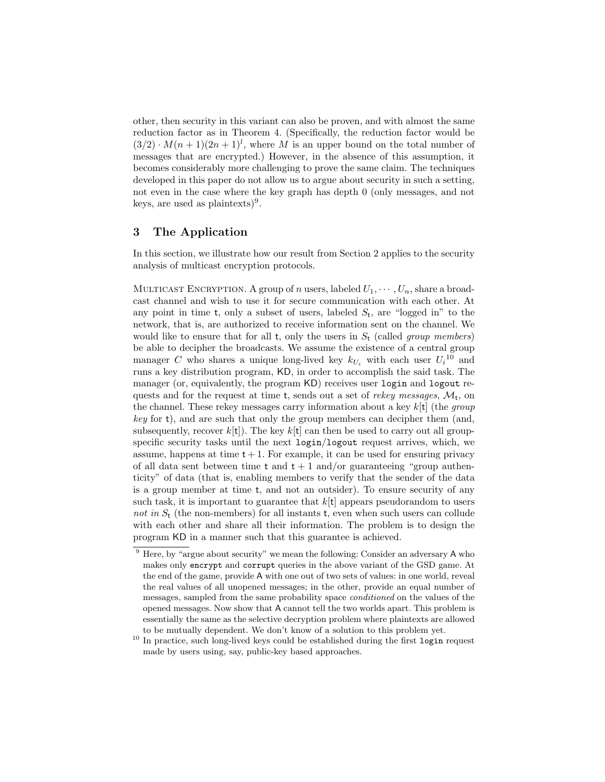other, then security in this variant can also be proven, and with almost the same reduction factor as in Theorem 4. (Specifically, the reduction factor would be  $(3/2) \cdot M(n+1)(2n+1)^l$ , where M is an upper bound on the total number of messages that are encrypted.) However, in the absence of this assumption, it becomes considerably more challenging to prove the same claim. The techniques developed in this paper do not allow us to argue about security in such a setting, not even in the case where the key graph has depth 0 (only messages, and not keys, are used as plaintexts $)^9$ .

## 3 The Application

In this section, we illustrate how our result from Section 2 applies to the security analysis of multicast encryption protocols.

MULTICAST ENCRYPTION. A group of n users, labeled  $U_1, \dots, U_n$ , share a broadcast channel and wish to use it for secure communication with each other. At any point in time t, only a subset of users, labeled  $S_t$ , are "logged in" to the network, that is, are authorized to receive information sent on the channel. We would like to ensure that for all t, only the users in  $S_t$  (called group members) be able to decipher the broadcasts. We assume the existence of a central group manager C who shares a unique long-lived key  $k_{U_i}$  with each user  $U_i^{10}$  and runs a key distribution program, KD, in order to accomplish the said task. The manager (or, equivalently, the program KD) receives user login and logout requests and for the request at time  $t$ , sends out a set of *rekey messages*,  $\mathcal{M}_t$ , on the channel. These rekey messages carry information about a key  $k[t]$  (the *group* key for t), and are such that only the group members can decipher them (and, subsequently, recover  $k[t]$ ). The key  $k[t]$  can then be used to carry out all groupspecific security tasks until the next login/logout request arrives, which, we assume, happens at time  $t + 1$ . For example, it can be used for ensuring privacy of all data sent between time t and  $t + 1$  and/or guaranteeing "group authenticity" of data (that is, enabling members to verify that the sender of the data is a group member at time t, and not an outsider). To ensure security of any such task, it is important to guarantee that  $k[t]$  appears pseudorandom to users not in  $S_t$  (the non-members) for all instants t, even when such users can collude with each other and share all their information. The problem is to design the program KD in a manner such that this guarantee is achieved.

<sup>&</sup>lt;sup>9</sup> Here, by "argue about security" we mean the following: Consider an adversary A who makes only encrypt and corrupt queries in the above variant of the GSD game. At the end of the game, provide A with one out of two sets of values: in one world, reveal the real values of all unopened messages; in the other, provide an equal number of messages, sampled from the same probability space conditioned on the values of the opened messages. Now show that A cannot tell the two worlds apart. This problem is essentially the same as the selective decryption problem where plaintexts are allowed to be mutually dependent. We don't know of a solution to this problem yet.

 $^{10}$  In practice, such long-lived keys could be established during the first  $\log$ in request made by users using, say, public-key based approaches.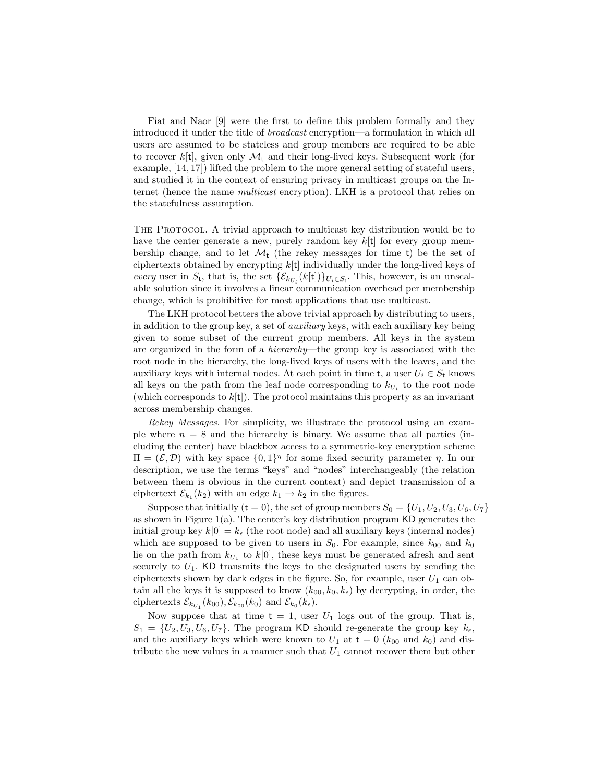Fiat and Naor [9] were the first to define this problem formally and they introduced it under the title of broadcast encryption—a formulation in which all users are assumed to be stateless and group members are required to be able to recover k[t], given only  $\mathcal{M}_t$  and their long-lived keys. Subsequent work (for example, [14, 17]) lifted the problem to the more general setting of stateful users, and studied it in the context of ensuring privacy in multicast groups on the Internet (hence the name multicast encryption). LKH is a protocol that relies on the statefulness assumption.

THE PROTOCOL. A trivial approach to multicast key distribution would be to have the center generate a new, purely random key  $k[t]$  for every group membership change, and to let  $\mathcal{M}_t$  (the rekey messages for time t) be the set of ciphertexts obtained by encrypting  $k[t]$  individually under the long-lived keys of every user in  $S_t$ , that is, the set  $\{\mathcal{E}_{kv_i}(k[t])\}_{U_i \in S_t}$ . This, however, is an unscalable solution since it involves a linear communication overhead per membership change, which is prohibitive for most applications that use multicast.

The LKH protocol betters the above trivial approach by distributing to users, in addition to the group key, a set of auxiliary keys, with each auxiliary key being given to some subset of the current group members. All keys in the system are organized in the form of a hierarchy—the group key is associated with the root node in the hierarchy, the long-lived keys of users with the leaves, and the auxiliary keys with internal nodes. At each point in time t, a user  $U_i \in S_t$  knows all keys on the path from the leaf node corresponding to  $k_{U_i}$  to the root node (which corresponds to  $k[t]$ ). The protocol maintains this property as an invariant across membership changes.

Rekey Messages. For simplicity, we illustrate the protocol using an example where  $n = 8$  and the hierarchy is binary. We assume that all parties (including the center) have blackbox access to a symmetric-key encryption scheme  $\Pi = (\mathcal{E}, \mathcal{D})$  with key space  $\{0, 1\}^{\eta}$  for some fixed security parameter  $\eta$ . In our description, we use the terms "keys" and "nodes" interchangeably (the relation between them is obvious in the current context) and depict transmission of a ciphertext  $\mathcal{E}_{k_1}(k_2)$  with an edge  $k_1 \rightarrow k_2$  in the figures.

Suppose that initially  $(t = 0)$ , the set of group members  $S_0 = \{U_1, U_2, U_3, U_6, U_7\}$ as shown in Figure 1(a). The center's key distribution program KD generates the initial group key  $k[0] = k_{\epsilon}$  (the root node) and all auxiliary keys (internal nodes) which are supposed to be given to users in  $S_0$ . For example, since  $k_{00}$  and  $k_0$ lie on the path from  $k_{U_1}$  to  $k[0]$ , these keys must be generated afresh and sent securely to  $U_1$ . KD transmits the keys to the designated users by sending the ciphertexts shown by dark edges in the figure. So, for example, user  $U_1$  can obtain all the keys it is supposed to know  $(k_{00}, k_0, k_{\epsilon})$  by decrypting, in order, the ciphertexts  $\mathcal{E}_{k_{U_1}}(k_{00}), \mathcal{E}_{k_{00}}(k_0)$  and  $\mathcal{E}_{k_0}(k_\epsilon)$ .

Now suppose that at time  $t = 1$ , user  $U_1$  logs out of the group. That is,  $S_1 = \{U_2, U_3, U_6, U_7\}$ . The program KD should re-generate the group key  $k_{\epsilon}$ , and the auxiliary keys which were known to  $U_1$  at  $t = 0$  ( $k_{00}$  and  $k_0$ ) and distribute the new values in a manner such that  $U_1$  cannot recover them but other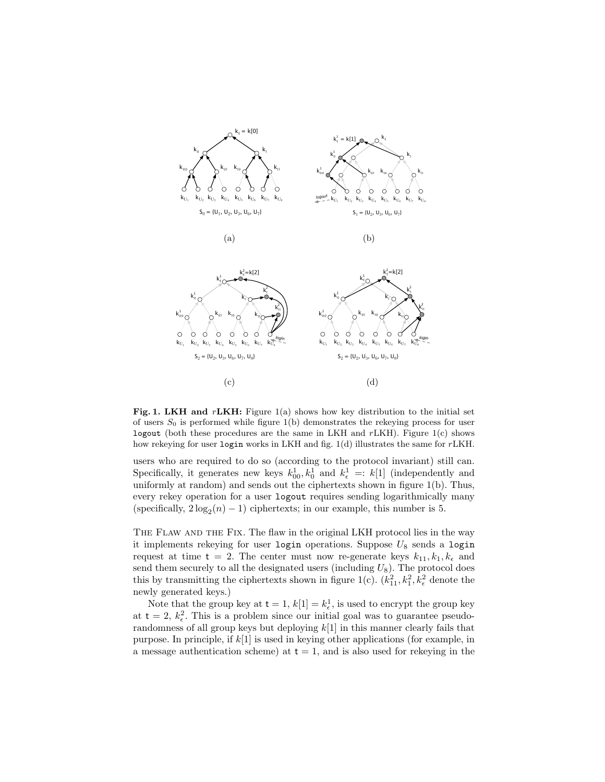

Fig. 1. LKH and rLKH: Figure 1(a) shows how key distribution to the initial set of users  $S_0$  is performed while figure 1(b) demonstrates the rekeying process for user logout (both these procedures are the same in LKH and  $r$ LKH). Figure 1(c) shows how rekeying for user  $\log$ in works in LKH and fig. 1(d) illustrates the same for rLKH.

users who are required to do so (according to the protocol invariant) still can. Specifically, it generates new keys  $k_{00}^1, k_0^1$  and  $k_{\epsilon}^1 =: k[1]$  (independently and uniformly at random) and sends out the ciphertexts shown in figure 1(b). Thus, every rekey operation for a user logout requires sending logarithmically many (specifically,  $2\log_2(n) - 1$ ) ciphertexts; in our example, this number is 5.

THE FLAW AND THE FIX. The flaw in the original LKH protocol lies in the way it implements rekeying for user  $\log$ in operations. Suppose  $U_8$  sends a login request at time  $t = 2$ . The center must now re-generate keys  $k_{11}, k_1, k_{\epsilon}$  and send them securely to all the designated users (including  $U_8$ ). The protocol does this by transmitting the ciphertexts shown in figure 1(c).  $(k_{11}^2, k_1^2, k_\epsilon^2)$  denote the newly generated keys.)

Note that the group key at  $t = 1$ ,  $k[1] = k_{\epsilon}^1$ , is used to encrypt the group key at  $t = 2$ ,  $k_{\epsilon}^2$ . This is a problem since our initial goal was to guarantee pseudorandomness of all group keys but deploying  $k[1]$  in this manner clearly fails that purpose. In principle, if  $k[1]$  is used in keying other applications (for example, in a message authentication scheme) at  $t = 1$ , and is also used for rekeying in the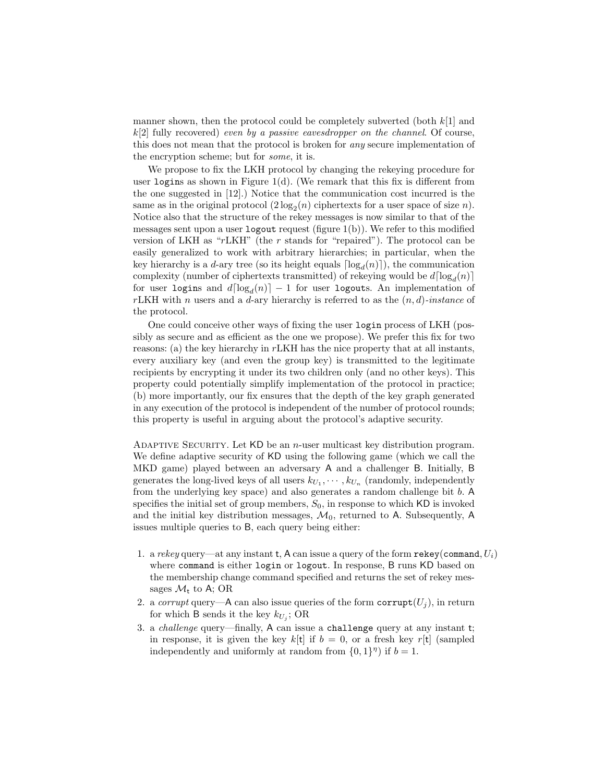manner shown, then the protocol could be completely subverted (both  $k[1]$  and  $k[2]$  fully recovered) even by a passive eavesdropper on the channel. Of course, this does not mean that the protocol is broken for any secure implementation of the encryption scheme; but for some, it is.

We propose to fix the LKH protocol by changing the rekeying procedure for user logins as shown in Figure  $1(d)$ . (We remark that this fix is different from the one suggested in [12].) Notice that the communication cost incurred is the same as in the original protocol  $(2 \log_2(n)$  ciphertexts for a user space of size *n*). Notice also that the structure of the rekey messages is now similar to that of the messages sent upon a user logout request (figure 1(b)). We refer to this modified version of LKH as " $r$ LKH" (the  $r$  stands for "repaired"). The protocol can be easily generalized to work with arbitrary hierarchies; in particular, when the key hierarchy is a *d*-ary tree (so its height equals  $\lceil \log_d(n) \rceil$ ), the communication complexity (number of ciphertexts transmitted) of rekeying would be  $d\lceil \log_d(n) \rceil$ for user logins and  $d\lceil \log_d(n) \rceil - 1$  for user logouts. An implementation of rLKH with n users and a d-ary hierarchy is referred to as the  $(n, d)$ -instance of the protocol.

One could conceive other ways of fixing the user login process of LKH (possibly as secure and as efficient as the one we propose). We prefer this fix for two reasons: (a) the key hierarchy in rLKH has the nice property that at all instants, every auxiliary key (and even the group key) is transmitted to the legitimate recipients by encrypting it under its two children only (and no other keys). This property could potentially simplify implementation of the protocol in practice; (b) more importantly, our fix ensures that the depth of the key graph generated in any execution of the protocol is independent of the number of protocol rounds; this property is useful in arguing about the protocol's adaptive security.

ADAPTIVE SECURITY. Let  $KD$  be an *n*-user multicast key distribution program. We define adaptive security of KD using the following game (which we call the MKD game) played between an adversary A and a challenger B. Initially, B generates the long-lived keys of all users  $k_{U_1}, \cdots, k_{U_n}$  (randomly, independently from the underlying key space) and also generates a random challenge bit b. A specifies the initial set of group members,  $S_0$ , in response to which KD is invoked and the initial key distribution messages,  $\mathcal{M}_0$ , returned to A. Subsequently, A issues multiple queries to B, each query being either:

- 1. a rekey query—at any instant t, A can issue a query of the form rekey(command,  $U_i$ ) where command is either login or logout. In response, B runs KD based on the membership change command specified and returns the set of rekey messages  $\mathcal{M}_t$  to A; OR
- 2. a corrupt query—A can also issue queries of the form corrupt $(U_j)$ , in return for which B sends it the key  $k_{U_j}$ ; OR
- 3. a *challenge* query—finally, A can issue a **challenge** query at any instant t; in response, it is given the key k[t] if  $b = 0$ , or a fresh key r[t] (sampled independently and uniformly at random from  $\{0,1\}^{\eta}$  if  $b=1$ .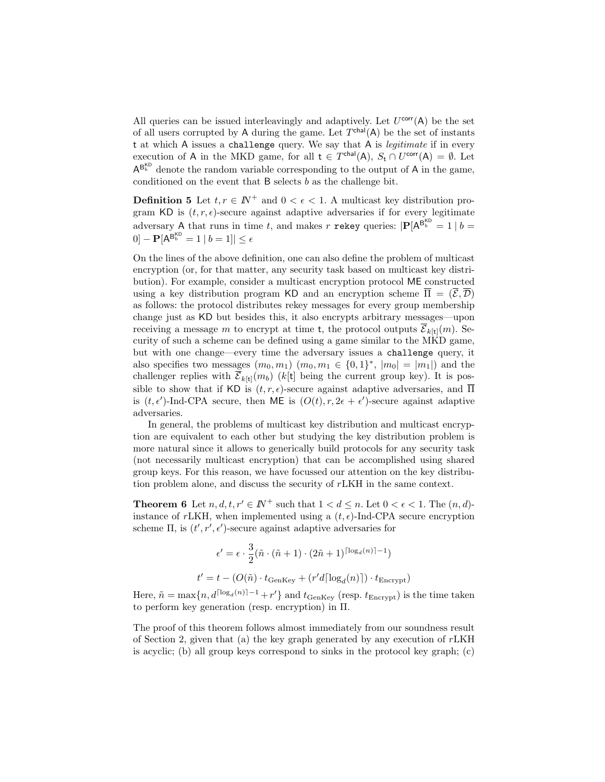All queries can be issued interleavingly and adaptively. Let  $U^{\text{corr}}(A)$  be the set of all users corrupted by A during the game. Let  $T^{\text{chal}}(A)$  be the set of instants t at which A issues a challenge query. We say that A is *legitimate* if in every execution of A in the MKD game, for all  $t \in T^{chal}(A)$ ,  $S_t \cap U^{corr}(A) = \emptyset$ . Let  $A^{B_b^{KD}}$  denote the random variable corresponding to the output of A in the game, conditioned on the event that  $B$  selects  $b$  as the challenge bit.

**Definition 5** Let  $t, r \in \mathbb{N}^+$  and  $0 < \epsilon < 1$ . A multicast key distribution program KD is  $(t, r, \epsilon)$ -secure against adaptive adversaries if for every legitimate adversary A that runs in time t, and makes r rekey queries:  $|\mathbf{P}[\mathsf{A}^{\mathsf{B}_b^{KD}}=1 | b =$  $|0| - P[A^{B_b^{KD}} = 1 | b = 1]| ≤ ε$ 

On the lines of the above definition, one can also define the problem of multicast encryption (or, for that matter, any security task based on multicast key distribution). For example, consider a multicast encryption protocol ME constructed using a key distribution program KD and an encryption scheme  $\overline{\Pi} = (\overline{\mathcal{E}}, \overline{\mathcal{D}})$ as follows: the protocol distributes rekey messages for every group membership change just as KD but besides this, it also encrypts arbitrary messages—upon receiving a message m to encrypt at time t, the protocol outputs  $\overline{\mathcal{E}}_{k[t]}(m)$ . Security of such a scheme can be defined using a game similar to the MKD game, but with one change—every time the adversary issues a challenge query, it also specifies two messages  $(m_0, m_1)$   $(m_0, m_1 \in \{0, 1\}^*, |m_0| = |m_1|)$  and the challenger replies with  $\overline{\mathcal{E}}_{k[t]}(m_b)$  (k[t] being the current group key). It is possible to show that if KD is  $(t, r, \epsilon)$ -secure against adaptive adversaries, and  $\overline{\Pi}$ is  $(t, \epsilon')$ -Ind-CPA secure, then ME is  $(O(t), r, 2\epsilon + \epsilon')$ -secure against adaptive adversaries.

In general, the problems of multicast key distribution and multicast encryption are equivalent to each other but studying the key distribution problem is more natural since it allows to generically build protocols for any security task (not necessarily multicast encryption) that can be accomplished using shared group keys. For this reason, we have focussed our attention on the key distribution problem alone, and discuss the security of rLKH in the same context.

**Theorem 6** Let  $n, d, t, r' \in \mathbb{N}^+$  such that  $1 < d \leq n$ . Let  $0 < \epsilon < 1$ . The  $(n, d)$ instance of rLKH, when implemented using a  $(t, \epsilon)$ -Ind-CPA secure encryption scheme  $\Pi$ , is  $(t', r', \epsilon')$ -secure against adaptive adversaries for

$$
\epsilon' = \epsilon \cdot \frac{3}{2} (\tilde{n} \cdot (\tilde{n} + 1) \cdot (2\tilde{n} + 1)^{\lceil \log_d(n) \rceil - 1})
$$
  

$$
t' = t - (O(\tilde{n}) \cdot t_{\text{GenKey}} + (r'd\lceil \log_d(n) \rceil) \cdot t_{\text{Encrypt}})
$$

Here,  $\tilde{n} = \max\{n, d^{\lceil \log_d(n) \rceil - 1} + r'\}$  and  $t_{\text{GenKey}}$  (resp.  $t_{\text{Encrypt}}$ ) is the time taken to perform key generation (resp. encryption) in Π.

The proof of this theorem follows almost immediately from our soundness result of Section 2, given that (a) the key graph generated by any execution of rLKH is acyclic; (b) all group keys correspond to sinks in the protocol key graph; (c)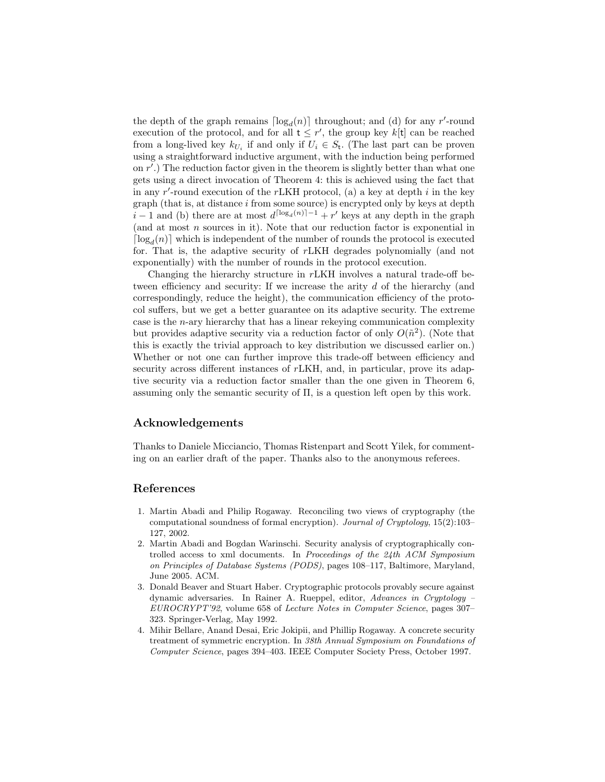the depth of the graph remains  $\lceil \log_d(n) \rceil$  throughout; and (d) for any r'-round execution of the protocol, and for all  $t \leq r'$ , the group key k[t] can be reached from a long-lived key  $k_{U_i}$  if and only if  $U_i \in S_t$ . (The last part can be proven using a straightforward inductive argument, with the induction being performed on  $r'$ .) The reduction factor given in the theorem is slightly better than what one gets using a direct invocation of Theorem 4: this is achieved using the fact that in any  $r'$ -round execution of the rLKH protocol, (a) a key at depth i in the key  $graph$  (that is, at distance  $i$  from some source) is encrypted only by keys at depth  $i-1$  and (b) there are at most  $d^{\lceil \log_d(n) \rceil-1} + r'$  keys at any depth in the graph (and at most  $n$  sources in it). Note that our reduction factor is exponential in  $\lceil \log_d(n) \rceil$  which is independent of the number of rounds the protocol is executed for. That is, the adaptive security of rLKH degrades polynomially (and not exponentially) with the number of rounds in the protocol execution.

Changing the hierarchy structure in rLKH involves a natural trade-off between efficiency and security: If we increase the arity d of the hierarchy (and correspondingly, reduce the height), the communication efficiency of the protocol suffers, but we get a better guarantee on its adaptive security. The extreme case is the  $n$ -ary hierarchy that has a linear rekeying communication complexity but provides adaptive security via a reduction factor of only  $O(\tilde{n}^2)$ . (Note that this is exactly the trivial approach to key distribution we discussed earlier on.) Whether or not one can further improve this trade-off between efficiency and security across different instances of rLKH, and, in particular, prove its adaptive security via a reduction factor smaller than the one given in Theorem 6, assuming only the semantic security of Π, is a question left open by this work.

## Acknowledgements

Thanks to Daniele Micciancio, Thomas Ristenpart and Scott Yilek, for commenting on an earlier draft of the paper. Thanks also to the anonymous referees.

#### References

- 1. Martin Abadi and Philip Rogaway. Reconciling two views of cryptography (the computational soundness of formal encryption). Journal of Cryptology, 15(2):103– 127, 2002.
- 2. Martin Abadi and Bogdan Warinschi. Security analysis of cryptographically controlled access to xml documents. In Proceedings of the 24th ACM Symposium on Principles of Database Systems (PODS), pages 108–117, Baltimore, Maryland, June 2005. ACM.
- 3. Donald Beaver and Stuart Haber. Cryptographic protocols provably secure against dynamic adversaries. In Rainer A. Rueppel, editor, Advances in Cryptology – EUROCRYPT'92, volume 658 of Lecture Notes in Computer Science, pages 307– 323. Springer-Verlag, May 1992.
- 4. Mihir Bellare, Anand Desai, Eric Jokipii, and Phillip Rogaway. A concrete security treatment of symmetric encryption. In 38th Annual Symposium on Foundations of Computer Science, pages 394–403. IEEE Computer Society Press, October 1997.